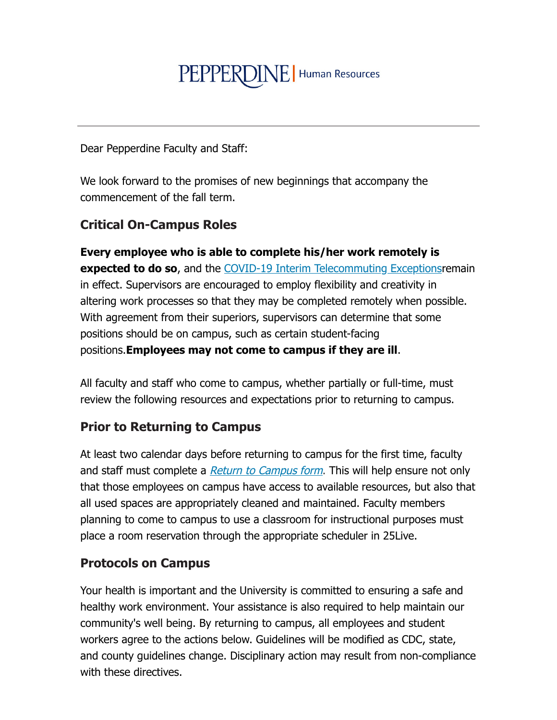# PEPPERDINE | Human Resources

Dear Pepperdine Faculty and Staff:

We look forward to the promises of new beginnings that accompany the commencement of the fall term.

# **Critical On-Campus Roles**

Every employee who is able to complete his/her work remotely is expected to do so, and the COVID-19 Interim Telecommuting Exceptions remain in effect. Supervisors are encouraged to employ flexibility and creativity in altering work processes so that they may be completed remotely when possible. With agreement from their superiors, supervisors can determine that some positions should be on campus, such as certain student-facing positions. Employees may not come to campus if they are ill.

All faculty and staff who come to campus, whether partially or full-time, must review the following resources and expectations prior to returning to campus.

### **Prior to Returning to Campus**

At least two calendar days before returning to campus for the first time, faculty and staff must complete a *Return to Campus form*. This will help ensure not only that those employees on campus have access to available resources, but also that all used spaces are appropriately cleaned and maintained. Faculty members planning to come to campus to use a classroom for instructional purposes must place a room reservation through the appropriate scheduler in 25 Live.

### **Protocols on Campus**

Your health is important and the University is committed to ensuring a safe and healthy work environment. Your assistance is also required to help maintain our community's well being. By returning to campus, all employees and student workers agree to the actions below. Guidelines will be modified as CDC, state, and county quidelines change. Disciplinary action may result from non-compliance with these directives.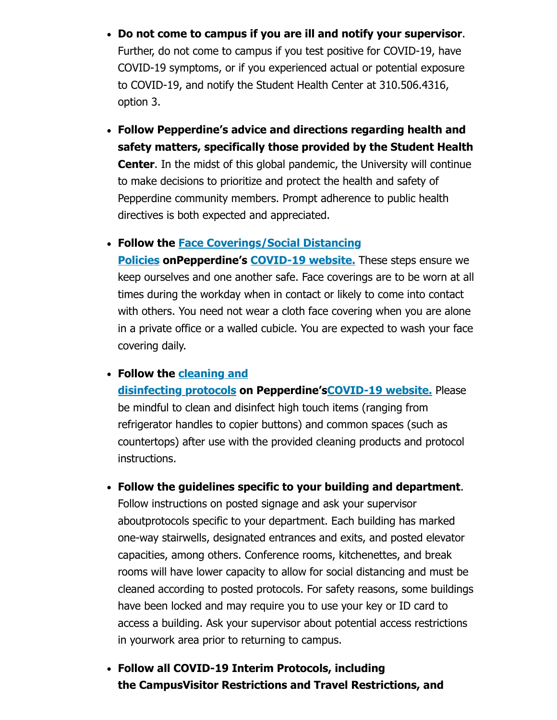- Do not come to campus if you are ill and notify your supervisor. Further, do not come to campus if you test positive for COVID-19, have COVID-19 symptoms, or if you experienced actual or potential exposure to COVID-19, and notify the Student Health Center at 310.506.4316, option 3.
- Follow Pepperdine's advice and directions regarding health and safety matters, specifically those provided by the Student Health **Center.** In the midst of this global pandemic, the University will continue to make decisions to prioritize and protect the health and safety of Pepperdine community members. Prompt adherence to public health directives is both expected and appreciated.

• Follow the Face Coverings/Social Distancing

Policies on Pepperdine's COVID-19 website. These steps ensure we keep ourselves and one another safe. Face coverings are to be worn at all times during the workday when in contact or likely to come into contact with others. You need not wear a cloth face covering when you are alone in a private office or a walled cubicle. You are expected to wash your face covering daily.

#### • Follow the cleaning and

disinfecting protocols on Pepperdine's COVID-19 website. Please be mindful to clean and disinfect high touch items (ranging from refrigerator handles to copier buttons) and common spaces (such as countertops) after use with the provided cleaning products and protocol instructions.

- Follow the guidelines specific to your building and department. Follow instructions on posted signage and ask your supervisor aboutprotocols specific to your department. Each building has marked one-way stairwells, designated entrances and exits, and posted elevator capacities, among others. Conference rooms, kitchenettes, and break rooms will have lower capacity to allow for social distancing and must be cleaned according to posted protocols. For safety reasons, some buildings have been locked and may require you to use your key or ID card to access a building. Ask your supervisor about potential access restrictions in yourwork area prior to returning to campus.
- Follow all COVID-19 Interim Protocols, including the CampusVisitor Restrictions and Travel Restrictions, and